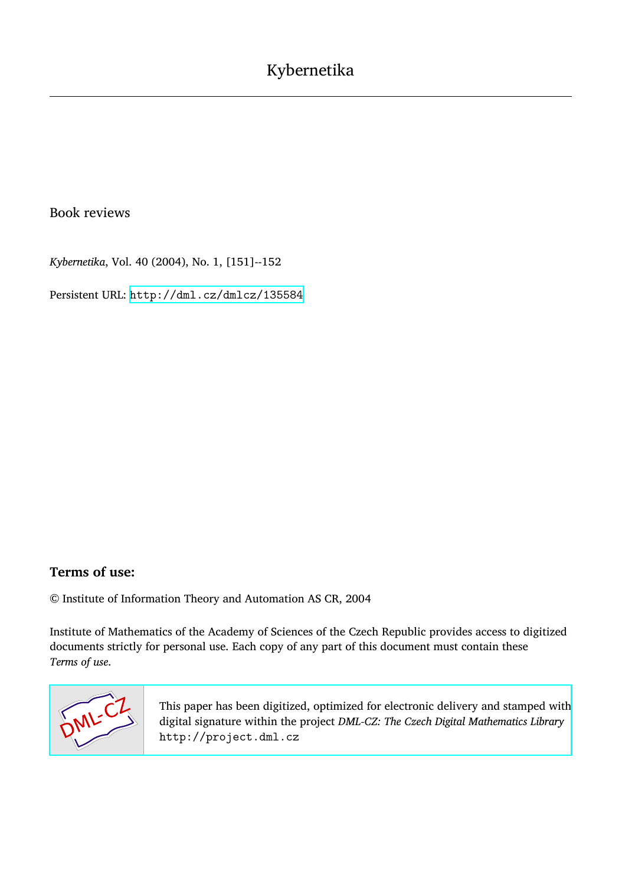## Book reviews

*Kybernetika*, Vol. 40 (2004), No. 1, [151]--152

Persistent URL: <http://dml.cz/dmlcz/135584>

## **Terms of use:**

© Institute of Information Theory and Automation AS CR, 2004

Institute of Mathematics of the Academy of Sciences of the Czech Republic provides access to digitized documents strictly for personal use. Each copy of any part of this document must contain these *Terms of use*.



[This paper has been digitized, optimized for electronic delivery and stamped with](http://project.dml.cz) digital signature within the project *DML-CZ: The Czech Digital Mathematics Library* http://project.dml.cz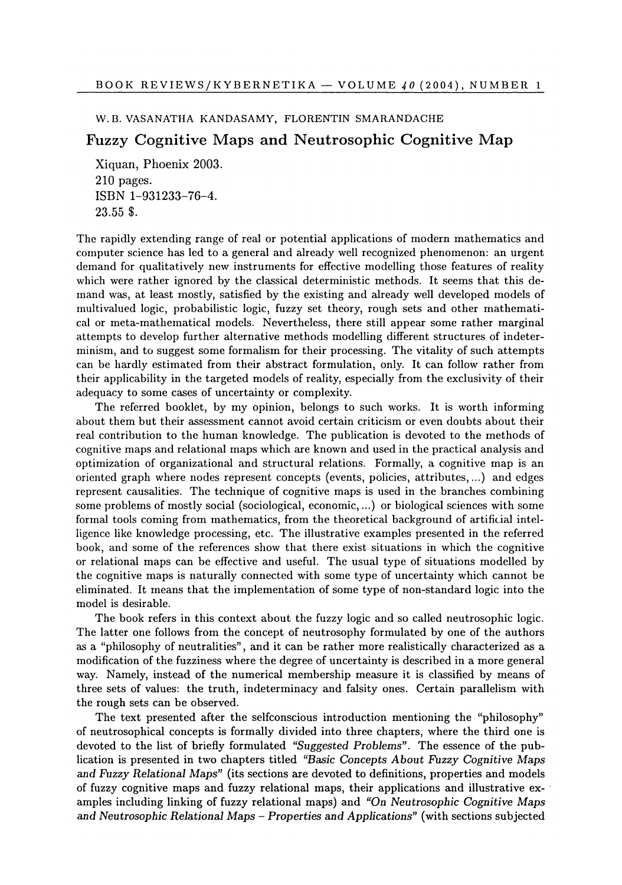## W.B. VASANATHA KANDASAMY, FLORENTIN SMARANDACHE

## Fuzzy Cognitive Maps and Neutrosophic Cognitive Map

Xiquan, Phoenix 2003. 210 pages. ISBN 1-931233-76-4. 23.55 \$.

The rapidly extending range of real or potential applications of modern mathematics and computer science has led to a general and already well recognized phenomenon: an urgent demand for qualitatively new instruments for effective modelling those features of reality which were rather ignored by the classical deterministic methods. It seems that this demand was, at least mostly, satisfied by the existing and already well developed models of multivalued logic, probabilistic logic, fuzzy set theory, rough sets and other mathematical or meta-mathematical models. Nevertheless, there still appear some rather marginal attempts to develop further alternative methods modelling different structures of indeterminism, and to suggest some formalism for their processing. The vitality of such attempts can be hardly estimated from their abstract formulation, only. It can follow rather from their applicability in the targeted models of reality, especially from the exclusivity of their adequacy to some cases of uncertainty or complexity.

The referred booklet, by my opinion, belongs to such works. It is worth informing about them but their assessment cannot avoid certain criticism or even doubts about their real contribution to the human knowledge. The publication is devoted to the methods of cognitive maps and relational maps which are known and used in the practical analysis and optimization of organizational and structural relations. Formally, a cognitive map is an oriented graph where nodes represent concepts (events, policies, attributes,...) and edges represent causalities. The technique of cognitive maps is used in the branches combining some problems of mostly social (sociological, economic,...) or biological sciences with some formal tools coming from mathematics, from the theoretical background of artificial intelligence like knowledge processing, etc. The illustrative examples presented in the referred book, and some of the references show that there exist situations in which the cognitive or relational maps can be effective and useful. The usual type of situations modelled by the cognitive maps is naturally connected with some type of uncertainty which cannot be eliminated. It means that the implementation of some type of non-standard logic into the model is desirable.

The book refers in this context about the fuzzy logic and so called neutrosophic logic. The latter one follows from the concept of neutrosophy formulated by one of the authors as a "philosophy of neutralities", and it can be rather more realistically characterized as a modification of the fuzziness where the degree of uncertainty is described in a more general way. Namely, instead of the numerical membership measure it is classified by means of three sets of values: the truth, indeterminacy and falsity ones. Certain parallelism with the rough sets can be observed.

The text presented after the selfconscious introduction mentioning the "philosophy" of neutrosophical concepts is formally divided into three chapters, where the third one is devoted to the list of briefly formulated *"Suggested Problems".* The essence of the publication is presented in two chapters titled "Basic Concepts About Fuzzy Cognitive Maps *and Fuzzy Relational Maps"* (its sections are devoted to definitions, properties and models of fuzzy cognitive maps and fuzzy relational maps, their applications and illustrative examples including linking of fuzzy relational maps) and *"On Neutrosophic Cognitive Maps and Neutrosophic Relational Maps - Properties and Applications"* **(**w**ith secti**o**ns s**ub**jecte**d